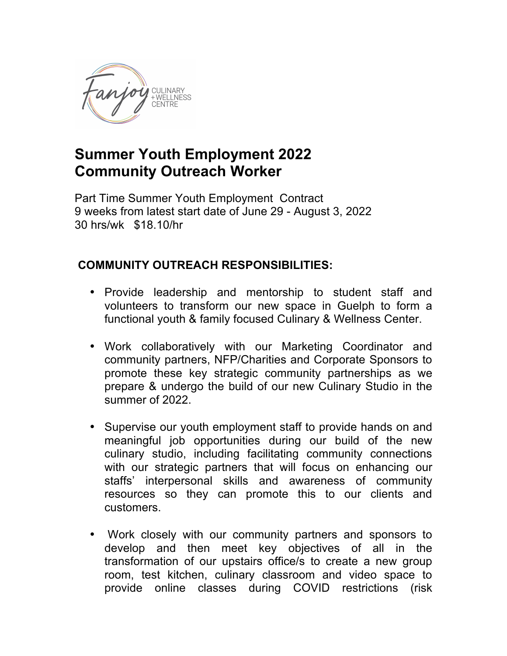

## **Summer Youth Employment 2022 Community Outreach Worker**

Part Time Summer Youth Employment Contract 9 weeks from latest start date of June 29 - August 3, 2022 30 hrs/wk \$18.10/hr

## **COMMUNITY OUTREACH RESPONSIBILITIES:**

- Provide leadership and mentorship to student staff and volunteers to transform our new space in Guelph to form a functional youth & family focused Culinary & Wellness Center.
- Work collaboratively with our Marketing Coordinator and community partners, NFP/Charities and Corporate Sponsors to promote these key strategic community partnerships as we prepare & undergo the build of our new Culinary Studio in the summer of 2022.
- Supervise our youth employment staff to provide hands on and meaningful job opportunities during our build of the new culinary studio, including facilitating community connections with our strategic partners that will focus on enhancing our staffs' interpersonal skills and awareness of community resources so they can promote this to our clients and customers.
- Work closely with our community partners and sponsors to develop and then meet key objectives of all in the transformation of our upstairs office/s to create a new group room, test kitchen, culinary classroom and video space to provide online classes during COVID restrictions (risk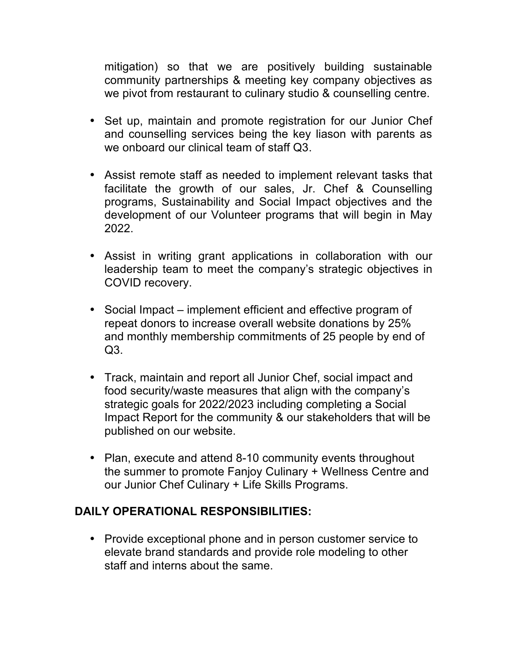mitigation) so that we are positively building sustainable community partnerships & meeting key company objectives as we pivot from restaurant to culinary studio & counselling centre.

- Set up, maintain and promote registration for our Junior Chef and counselling services being the key liason with parents as we onboard our clinical team of staff Q3.
- Assist remote staff as needed to implement relevant tasks that facilitate the growth of our sales, Jr. Chef & Counselling programs, Sustainability and Social Impact objectives and the development of our Volunteer programs that will begin in May 2022.
- Assist in writing grant applications in collaboration with our leadership team to meet the company's strategic objectives in COVID recovery.
- Social Impact implement efficient and effective program of repeat donors to increase overall website donations by 25% and monthly membership commitments of 25 people by end of Q3.
- Track, maintain and report all Junior Chef, social impact and food security/waste measures that align with the company's strategic goals for 2022/2023 including completing a Social Impact Report for the community & our stakeholders that will be published on our website.
- Plan, execute and attend 8-10 community events throughout the summer to promote Fanjoy Culinary + Wellness Centre and our Junior Chef Culinary + Life Skills Programs.

## **DAILY OPERATIONAL RESPONSIBILITIES:**

• Provide exceptional phone and in person customer service to elevate brand standards and provide role modeling to other staff and interns about the same.